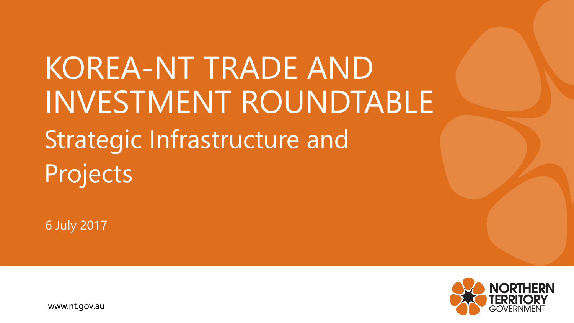KOREA-NT TRADE AND INVESTMENT ROUNDTABLE Strategic Infrastructure and Projects

6 July 2017



www.nt.gov.au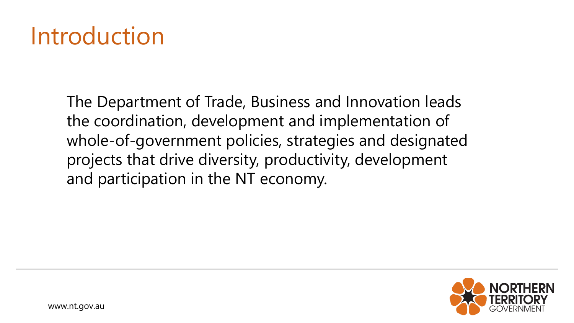## **Introduction**

The Department of Trade, Business and Innovation leads the coordination, development and implementation of whole-of-government policies, strategies and designated projects that drive diversity, productivity, development and participation in the NT economy.

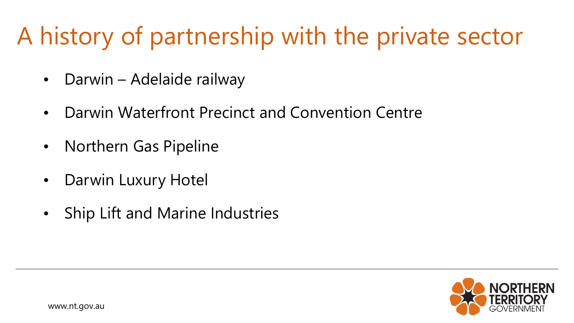# A history of partnership with the private sector

- Darwin Adelaide railway
- Darwin Waterfront Precinct and Convention Centre
- Northern Gas Pipeline
- Darwin Luxury Hotel
- Ship Lift and Marine Industries



www.nt.gov.au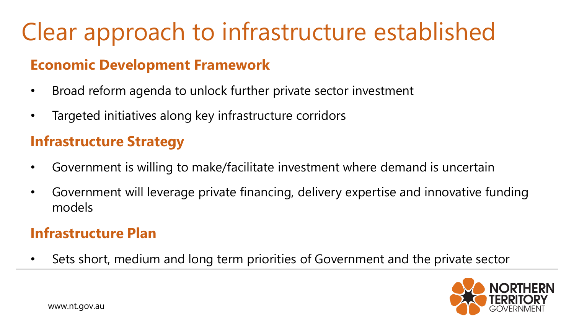# Clear approach to infrastructure established

#### **Economic Development Framework**

- Broad reform agenda to unlock further private sector investment
- Targeted initiatives along key infrastructure corridors

#### **Infrastructure Strategy**

- Government is willing to make/facilitate investment where demand is uncertain
- Government will leverage private financing, delivery expertise and innovative funding models

#### **Infrastructure Plan**

• Sets short, medium and long term priorities of Government and the private sector

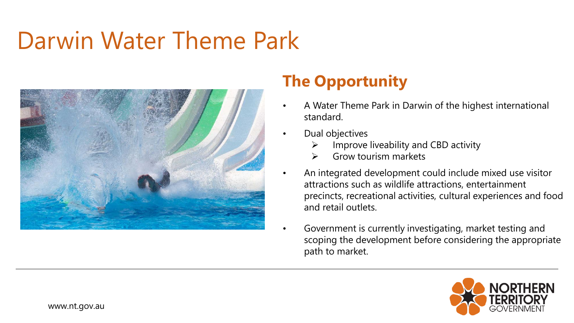## Darwin Water Theme Park



- A Water Theme Park in Darwin of the highest international standard.
- Dual objectives
	- Improve liveability and CBD activity
	- ➢ Grow tourism markets
- An integrated development could include mixed use visitor attractions such as wildlife attractions, entertainment precincts, recreational activities, cultural experiences and food and retail outlets.
	- Government is currently investigating, market testing and scoping the development before considering the appropriate path to market.

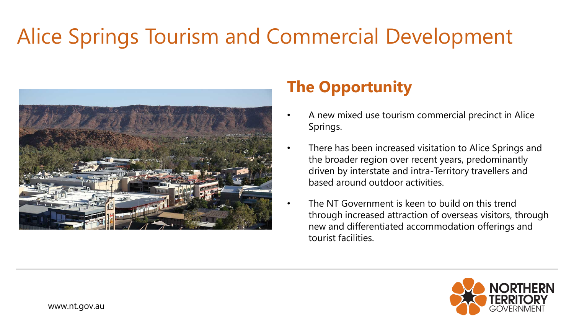## Alice Springs Tourism and Commercial Development



- A new mixed use tourism commercial precinct in Alice Springs.
- There has been increased visitation to Alice Springs and the broader region over recent years, predominantly driven by interstate and intra-Territory travellers and based around outdoor activities.
- The NT Government is keen to build on this trend through increased attraction of overseas visitors, through new and differentiated accommodation offerings and tourist facilities.

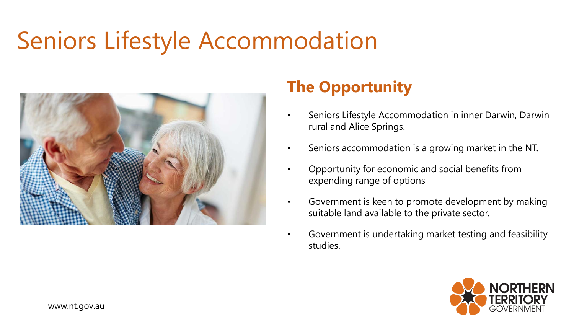## Seniors Lifestyle Accommodation



- Seniors Lifestyle Accommodation in inner Darwin, Darwin rural and Alice Springs.
- Seniors accommodation is a growing market in the NT.
- Opportunity for economic and social benefits from expending range of options
- Government is keen to promote development by making suitable land available to the private sector.
- Government is undertaking market testing and feasibility studies.

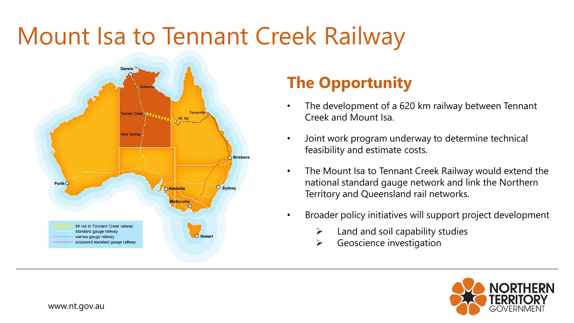# Mount Isa to Tennant Creek Railway



- The development of a 620 km railway between Tennant Creek and Mount Isa.
- Joint work program underway to determine technical feasibility and estimate costs.
- The Mount Isa to Tennant Creek Railway would extend the national standard gauge network and link the Northern Territory and Queensland rail networks.
- Broader policy initiatives will support project development
	- $\blacktriangleright$  Land and soil capability studies
	- $\triangleright$  Geoscience investigation

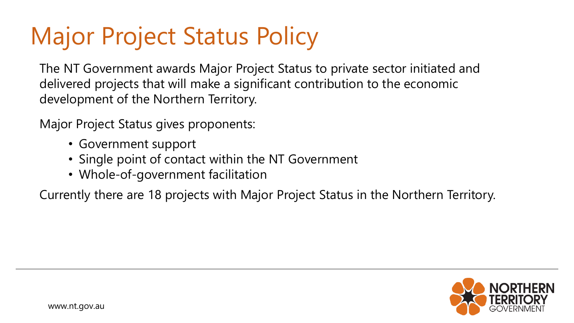# Major Project Status Policy

The NT Government awards Major Project Status to private sector initiated and delivered projects that will make a significant contribution to the economic development of the Northern Territory.

Major Project Status gives proponents:

- Government support
- Single point of contact within the NT Government
- Whole-of-government facilitation

Currently there are 18 projects with Major Project Status in the Northern Territory.